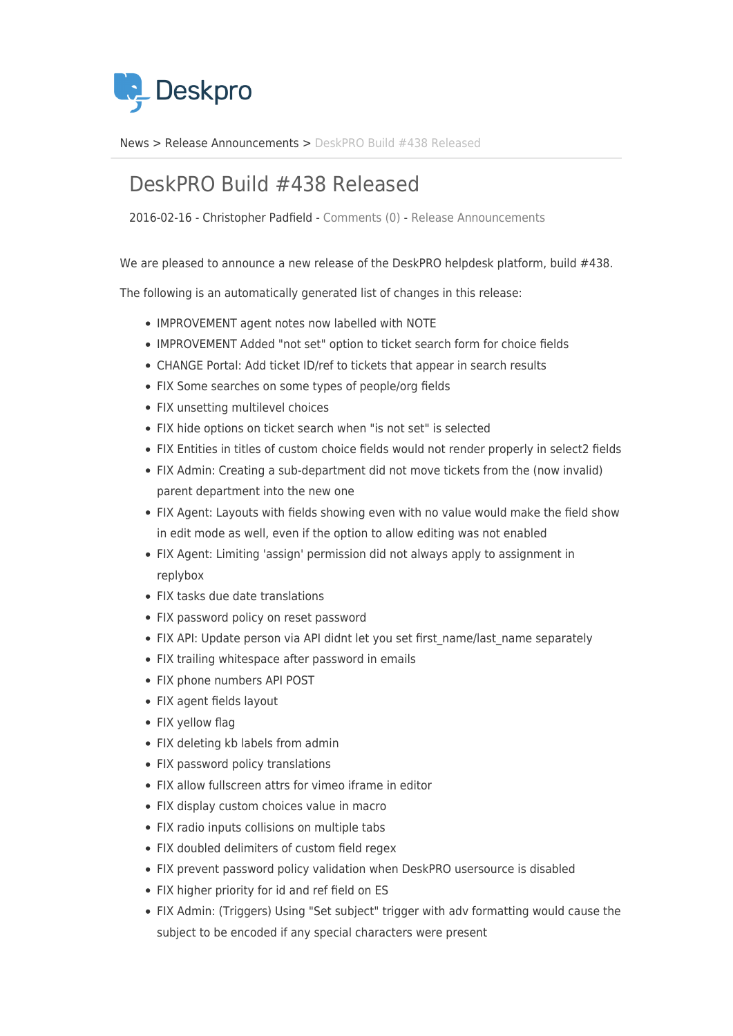

[News](https://support.deskpro.com/ro/news) > [Release Announcements](https://support.deskpro.com/ro/news/release-announcements) > [DeskPRO Build #438 Released](https://support.deskpro.com/ro/news/posts/deskpro-build-438-released)

## DeskPRO Build #438 Released

2016-02-16 - Christopher Padfield - [Comments \(0\)](#page--1-0) - [Release Announcements](https://support.deskpro.com/ro/news/release-announcements)

We are pleased to announce a new release of the DeskPRO helpdesk platform, build #438.

The following is an automatically generated list of changes in this release:

- IMPROVEMENT agent notes now labelled with NOTE
- IMPROVEMENT Added "not set" option to ticket search form for choice fields
- CHANGE Portal: Add ticket ID/ref to tickets that appear in search results
- FIX Some searches on some types of people/org fields
- FIX unsetting multilevel choices
- FIX hide options on ticket search when "is not set" is selected
- FIX Entities in titles of custom choice fields would not render properly in select2 fields
- FIX Admin: Creating a sub-department did not move tickets from the (now invalid) parent department into the new one
- FIX Agent: Layouts with fields showing even with no value would make the field show in edit mode as well, even if the option to allow editing was not enabled
- FIX Agent: Limiting 'assign' permission did not always apply to assignment in replybox
- FIX tasks due date translations
- FIX password policy on reset password
- FIX API: Update person via API didnt let you set first\_name/last\_name separately
- FIX trailing whitespace after password in emails
- FIX phone numbers API POST
- FIX agent fields layout
- FIX yellow flag
- FIX deleting kb labels from admin
- FIX password policy translations
- FIX allow fullscreen attrs for vimeo iframe in editor
- FIX display custom choices value in macro
- FIX radio inputs collisions on multiple tabs
- FIX doubled delimiters of custom field regex
- FIX prevent password policy validation when DeskPRO usersource is disabled
- FIX higher priority for id and ref field on ES
- FIX Admin: (Triggers) Using "Set subject" trigger with adv formatting would cause the subject to be encoded if any special characters were present